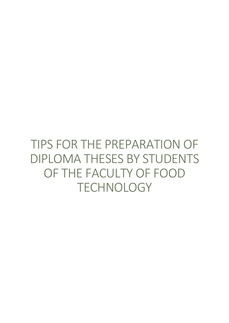TIPS FOR THE PREPARATION OF DIPLOMA THESES BY STUDENTS OF THE FACULTY OF FOOD **TECHNOLOGY**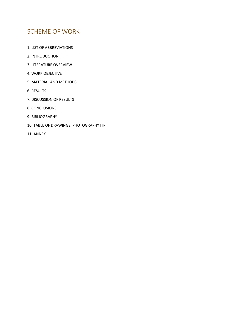## SCHEME OF WORK

- 1. LIST OF ABBREVIATIONS
- 2. INTRODUCTION
- 3. LITERATURE OVERVIEW
- 4. WORK OBJECTIVE
- 5. MATERIAL AND METHODS
- 6. RESULTS
- 7. DISCUSSION OF RESULTS
- 8. CONCLUSIONS
- 9. BIBLIOGRAPHY
- 10. TABLE OF DRAWINGS, PHOTOGRAPHY ITP.
- 11. ANNEX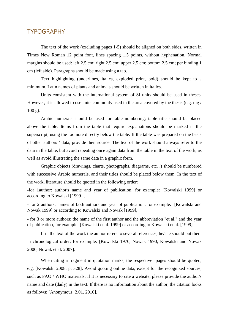### TYPOGRAPHY

The text of the work (excluding pages 1-5) should be aligned on both sides, written in Times New Roman 12 point font, lines spacing 1.5 points, without hyphenation. Normal margins should be used: left 2.5 cm; right 2.5 cm; upper 2.5 cm; bottom 2.5 cm; per binding 1 cm (left side). Paragraphs should be made using a tab.

Text highlighting (underlines, italics, exploded print, bold) should be kept to a minimum. Latin names of plants and animals should be written in italics.

Units consistent with the international system of SI units should be used in theses. However, it is allowed to use units commonly used in the area covered by the thesis (e.g. mg / 100 g).

Arabic numerals should be used for table numbering; table title should be placed above the table. Items from the table that require explanations should be marked in the superscript, using the footnote directly below the table. If the table was prepared on the basis of other authors ' data, provide their source. The text of the work should always refer to the data in the table, but avoid repeating once again data from the table in the text of the work, as well as avoid illustrating the same data in a graphic form.

Graphic objects (drawings, charts, photographs, diagrams, etc. .) should be numbered with successive Arabic numerals, and their titles should be placed below them. In the text of the work, literature should be quoted in the following order:

-for 1author: author's name and year of publication, for example: [Kowalski 1999] or according to Kowalski [1999 ],

- for 2 authors: names of both authors and year of publication, for example: [Kowalski and Nowak 1999] or according to Kowalski and Nowak [1999],

- for 3 or more authors: the name of the first author and the abbreviation "et al." and the year of publication, for example: [Kowalski et al. 1999] or according to Kowalski et al. [1999].

If in the text of the work the author refers to several references, he/she should put them in chronological order, for example: [Kowalski 1970, Nowak 1990, Kowalski and Nowak 2000, Nowak et al. 2007].

When citing a fragment in quotation marks, the respective pages should be quoted, e.g. [Kowalski 2008, p. 328]. Avoid quoting online data, except for the recognized sources, such as FAO / WHO materials. If it is necessary to cite a website, please provide the author's name and date (daily) in the text. If there is no information about the author, the citation looks as follows: [Anonymous, 2.01. 2010].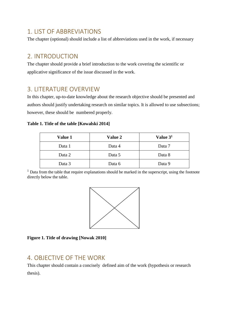### 1. LIST OF ABBREVIATIONS

The chapter (optional) should include a list of abbreviations used in the work, if necessary

### 2. INTRODUCTION

The chapter should provide a brief introduction to the work covering the scientific or applicative significance of the issue discussed in the work.

## 3. LITERATURE OVERVIEW

In this chapter, up-to-date knowledge about the research objective should be presented and authors should justify undertaking research on similar topics. It is allowed to use subsections; however, these should be numbered properly.

#### **Table 1. Title of the table [Kowalski 2014]**

| <b>Value 1</b> | <b>Value 2</b> | Value 3 <sup>1</sup> |
|----------------|----------------|----------------------|
| Data 1         | Data 4         | Data 7               |
| Data 2         | Data 5         | Data 8               |
| Data 3         | Data 6         | Data 9               |

 $1$  Data from the table that require explanations should be marked in the superscript, using the footnote directly below the table.



**Figure 1. Title of drawing [Nowak 2010]**

### 4. OBJECTIVE OF THE WORK

This chapter should contain a concisely defined aim of the work (hypothesis or research thesis).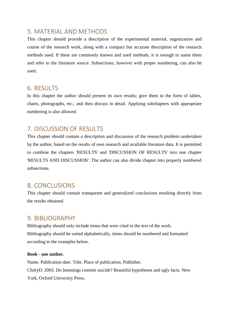### 5. MATERIAL AND METHODS

This chapter should provide a description of the experimental material, organization and course of the research work, along with a compact but accurate description of the research methods used. If these are commonly known and used methods, it is enough to name them and refer to the literature source. Subsections, however with proper numbering, can also be used.

### 6. RESULTS

In this chapter the author should present its own results; give them in the form of tables, charts, photographs, etc.; and then discuss in detail. Applying subchapters with appropriate numbering is also allowed.

## 7. DISCUSSION OF RESULTS

This chapter should contain a description and discussion of the research problem undertaken by the author, based on the results of own research and available literature data. It is permitted to combine the chapters 'RESULTS' and 'DISCUSSION OF RESULTS' into one chapter 'RESULTS AND DISCUSSION'. The author can also divide chapter into properly numbered subsections.

### 8. CONCLUSIONS

This chapter should contain transparent and generalized conclusions resulting directly from the results obtained.

### 9. BIBLIOGRAPHY

Bibliography should only include items that were cited in the text of the work. Bibliography should be sorted alphabetically, items should be numbered and formatted according to the examples below.

#### **Book - one author.**

Name. Publication date. Title. Place of publication, Publisher. ChittyD. 2003. Do lemmings commit suicide? Beautiful hypotheses and ugly facts. New York, Oxford University Press.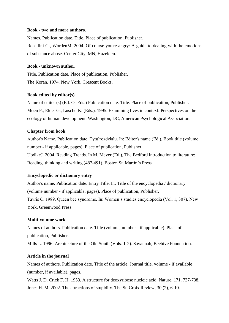#### **Book - two and more authors.**

Names. Publication date. Title. Place of publication, Publisher. Rosellini G., WordenM. 2004. Of course you're angry: A guide to dealing with the emotions of substance abuse. Center City, MN, Hazelden.

#### **Book - unknown author.**

Title. Publication date. Place of publication, Publisher. The Koran. 1974. New York, Crescent Books.

#### **Book edited by editor(s)**

Name of editor (s) (Ed. Or Eds.) Publication date. Title. Place of publication, Publisher. Moen P., Elder G., LuscherK. (Eds.). 1995. Examining lives in context: Perspectives on the ecology of human development. Washington, DC, American Psychological Association.

#### **Chapter from book**

Author's Name. Publication date. Tytułrozdziału. In: Editor's name (Ed.), Book title (volume number - if applicable, pages). Place of publication, Publisher. UpdikeJ. 2004. Reading Trends. In M. Meyer (Ed.), The Bedford introduction to literature: Reading, thinking and writing (487-491). Boston St. Martin's Press.

#### **Encyclopedic or dictionary entry**

Author's name. Publication date. Entry Title. In: Title of the encyclopedia / dictionary (volume number - if applicable, pages). Place of publication, Publisher. Tavris C. 1989. Queen bee syndrome. In: Women's studies encyclopedia (Vol. 1, 307). New York, Greenwood Press.

#### **Multi-volume work**

Names of authors. Publication date. Title (volume, number - if applicable). Place of publication, Publisher.

Mills L. 1996. Architecture of the Old South (Vols. 1-2). Savannah, Beehive Foundation.

#### **Article in the journal**

Names of authors. Publication date. Title of the article. Journal title. volume - if available (number, if available), pages.

Watts J. D. Crick F. H. 1953. A structure for deoxyribose nucleic acid. Nature, 171, 737-738. Jones H. M. 2002. The attractions of stupidity. The St. Croix Review, 30 (2), 6-10.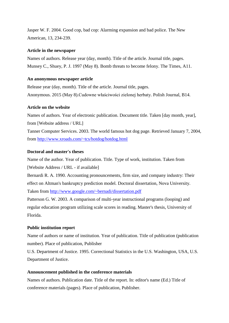Jasper W. F. 2004. Good cop, bad cop: Alarming expansion and bad police. The New American, 13, 234-239.

#### **Article in the newspaper**

Names of authors. Release year (day, month). Title of the article. Journal title, pages. Munsey C., Shuey, P. J. 1997 (May 8). Bomb threats to become felony. The Times, A11.

#### **An anonymous newspaper article**

Release year (day, month). Title of the article. Journal title, pages. Anonymous. 2015 (May 8).Cudowne właściwości zielonej herbaty. Polish Journal, B14.

#### **Article on the website**

Names of authors. Year of electronic publication. Document title. Taken [day month, year], from [Website address / URL] Tanner Computer Services. 2003. The world famous hot dog page. Retrieved January 7, 2004, from<http://www.xroads.com/~tcs/hotdog/hotdog.html>

#### **Doctoral and master's theses**

Name of the author. Year of publication. Title. Type of work, institution. Taken from [Website Address / URL - if available]

Bernardi R. A. 1990. Accounting pronouncements, firm size, and company industry: Their effect on Altman's bankruptcy prediction model. Doctoral dissertation, Nova University. Taken from<http://www.google.com/~bernadi/dissertation.pdf>

Patterson G. W. 2003. A comparison of multi-year instructional programs (looping) and regular education program utilizing scale scores in reading. Master's thesis, University of Florida.

#### **Public institution report**

Name of authors or name of institution. Year of publication. Title of publication (publication number). Place of publication, Publisher

U.S. Department of Justice. 1995. Correctional Statistics in the U.S. Washington, USA, U.S. Department of Justice.

#### **Announcement published in the conference materials**

Names of authors. Publication date. Title of the report. In: editor's name (Ed.) Title of conference materials (pages). Place of publication, Publisher.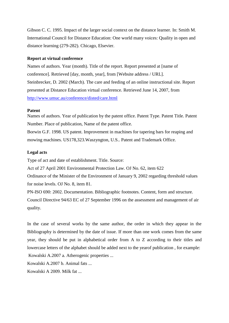Gibson C. C. 1995. Impact of the larger social context on the distance learner. In: Smith M. International Council for Distance Education: One world many voices: Quality in open and distance learning (279-282). Chicago, Elsevier.

#### **Report at virtual conference**

Names of authors. Year (month). Title of the report. Report presented at [name of conference]. Retrieved [day, month, year], from [Website address / URL]. Steinbrecker, D. 2002 (March). The care and feeding of an online instructional site. Report presented at Distance Education virtual conference. Retrieved June 14, 2007, from <http://www.umuc.au/conference/disted/care.html>

#### **Patent**

Names of authors. Year of publication by the patent office. Patent Type. Patent Title. Patent Number. Place of publication, Name of the patent office.

Borwin G.F. 1998. US patent. Improvement in machines for tapering bars for reaping and mowing machines. US178,323.Waszyngton, U.S.. Patent and Trademark Office.

#### **Legal acts**

Type of act and date of establishment. Title. Source:

Act of 27 April 2001 Environmental Protection Law. OJ No. 62, item 622

Ordinance of the Minister of the Environment of January 9, 2002 regarding threshold values for noise levels. OJ No. 8, item 81.

PN-ISO 690: 2002. Documentation. Bibliographic footnotes. Content, form and structure. Council Directive 94/63 EC of 27 September 1996 on the assessment and management of air quality.

In the case of several works by the same author, the order in which they appear in the Bibliography is determined by the date of issue. If more than one work comes from the same year, they should be put in alphabetical order from A to Z according to their titles and lowercase letters of the alphabet should be added next to the yearof publication , for example:

Kowalski A.2007 a. Atherogenic properties ...

Kowalski A.2007 b. Animal fats ...

Kowalski A 2009. Milk fat ...